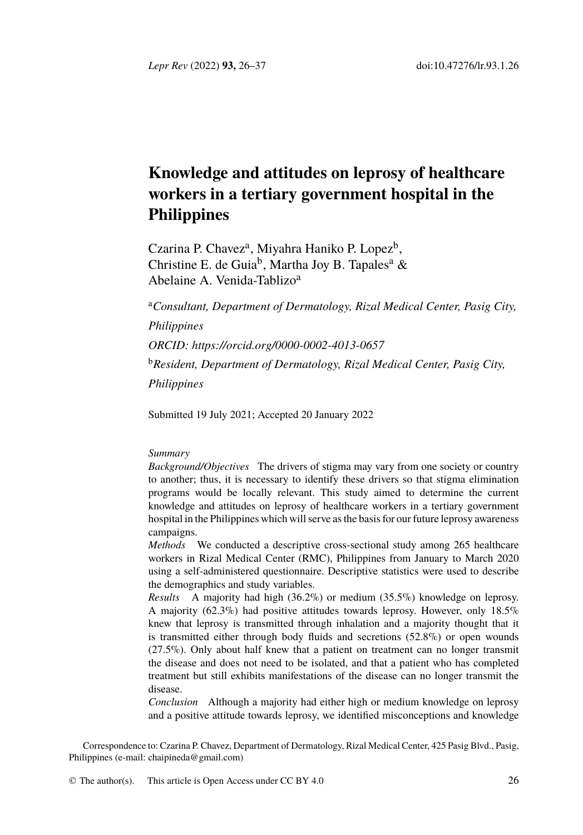*Lepr Rev* (2022) **93,** 26–37 doi:10.47276/lr.93.1.26

# **Knowledge and attitudes on leprosy of healthcare workers in a tertiary government hospital in the Philip[pines](https://orcid.org/0000-0002-4013-0657)**

Czarina P. Chavez<sup>a</sup>, Miyahra Haniko P. Lopez<sup>b</sup>, Christine E. de Guia<sup>b</sup>, Martha Joy B. Tapales<sup>a</sup> & Abelaine A. Venida-Tablizo<sup>a</sup>

<sup>a</sup>*Consultant, Department of Dermatology, Rizal Medical Center, Pasig City, Philippines ORCID: https://orcid.org/0000-0002-4013-0657* <sup>b</sup>*Resident, Department of Dermatology, Rizal Medical Center, Pasig City, Philippines*

Submitted 19 July 2021; Accepted 20 January 2022

## *Summary*

*Background/Objectives* The drivers of stigma may vary from one society or country to another; thus, it is necessary to identify these drivers so that stigma elimination programs would be locally relevant. This study aimed to determine the current knowledge and attitudes on leprosy of healthcare workers in a tertiary government hospital in the Philippines which will serve as the basis for our future leprosy awareness campaigns.

*Methods* We conducted a descriptive cross-sectional study among 265 healthcare workers in Rizal Medical Center (RMC), Philippines from January to March 2020 using a self-administered questionnaire. Descriptive statistics were used to describe the demographics and study variables.

*Results* A majority had high (36.2%) or medium (35.5%) knowledge on leprosy. A majority (62.3%) had positive attitudes towards leprosy. However, only 18.5% [knew that leprosy is](mailto:chaipineda@gmail.com) transmitted through inhalation and a majority thought that it is transmitted either through body fluids and secretions (52.8%) or open wounds (27.5%). Only about half kn[ew that a p](http://creativecommons.org/licenses/by/4.0/)atient on treatment can no longer transmit the disease and does not need to be isolated, and that a patient who has completed treatment but still exhibits manifestations of the disease can no longer transmit the disease.

*Conclusion* Although a majority had either high or medium knowledge on leprosy and a positive attitude towards leprosy, we identified misconceptions and knowledge

Correspondence to: Czarina P. Chavez, Department of Dermatology, Rizal Medical Center, 425 Pasig Blvd., Pasig, Philippines (e-mail: chaipineda@gmail.com)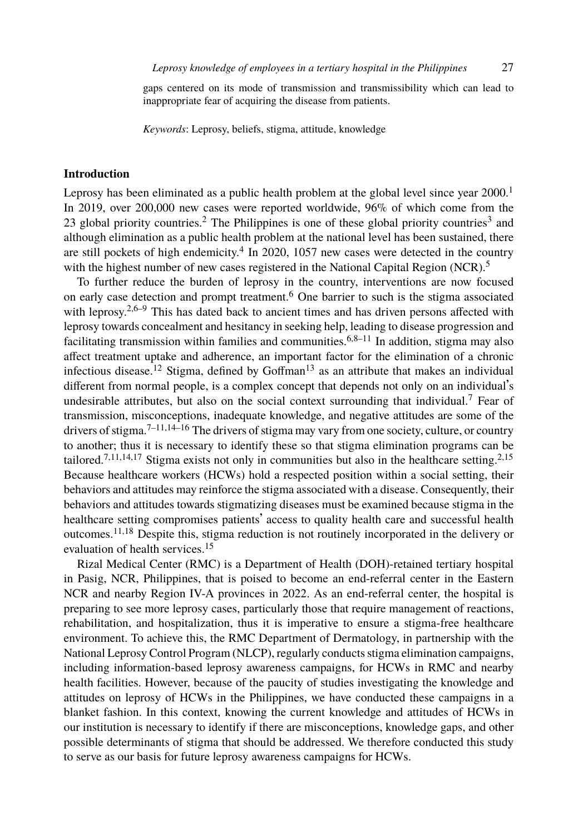## *Leprosy knowledge of employees in a tertiary hospital in the Philippines* 2[7](#page-10-0)

gaps centere[d](#page-10-1) on its mode of transmission and transmissibility which can l[ea](#page-10-2)d to inappropriate fear of acquiring the disease from patients.

*Keywords*: Leprosy, b[el](#page-10-3)iefs, stigma, attitude, knowledge

# **Introductio[n](#page-10-1)**

Leprosy has been eliminated as a public health problem at the global level since year 2000.<sup>1</sup> In 2019, over 200,000 new cases were reported worldwi[d](#page-10-4)[e,](#page-11-0) [9](#page-11-1)6% of which come from the 23 global priority countries.<sup>2</sup> The Philippines is one of these global priority countries<sup>3</sup> and although eliminati[on](#page-11-2) as a public health problem a[t th](#page-11-3)e national level has been sustained, there are still pockets of high endemicity.<sup>4</sup> In 2020, 1057 new cases were detected in the country with the highest number of new cases registered in the National Capital Region (N[CR](#page-11-4)).<sup>5</sup>

To further reduce the burden of leprosy in the country, interventions are now focused on [e](#page-11-4)arly case dete[cti](#page-11-1)[on](#page-11-5) [an](#page-11-6)d prompt treatment.<sup>6</sup> One barrier to such is the stigma associated with leprosy.<sup>2,6–9</sup> This has dated back to ancient times and has driven persons affected with leprosy [to](#page-11-4)[w](#page-11-1)[ard](#page-11-5)[s c](#page-11-7)oncealment and hesitancy in seeking help, leading to disease progression [a](#page-10-1)[nd](#page-11-8) facilitating transmission within families and communities.<sup>6,8–11</sup> In addition, stigma may also affect treatment uptake and adherence, an important factor for the elimination of a chronic infectious disease.<sup>12</sup> Stigma, defined by Goffman<sup>13</sup> as an attribute that makes an individual different from normal people, is a complex concept that depends not only on an individual's undesirab[le](#page-11-1) [att](#page-11-9)ributes, but also on the social context surrounding that individual.<sup>7</sup> Fear of transmission, misconception[s, i](#page-11-8)nadequate knowledge, and negative attitudes are some of the drivers of stigma.<sup>7–11,14–16</sup> The drivers of stigma may vary from one society, culture, or country to another; thus it is necessary to identify these so that stigma elimination programs can be tailored.<sup>7,11,14,17</sup> Stigma exists not only in communities but also in the healthcare setting.<sup>2,15</sup> Because healthcare workers (HCWs) hold a respected position within a social setting, their behaviors and attitudes may reinforce the stigma associated with a disease. Consequently, their behaviors and attitudes towards stigmatizing diseases must be examined because stigma in the healthcare setting compromises patients' access to quality health care and successful health outcomes.11,18 Despite this, stigma reduction is not routinely incorporated in the delivery or evaluation of health services.<sup>15</sup>

Rizal Medical Center (RMC) is a Department of Health (DOH)-retained tertiary hospital in Pasig, NCR, Philippines, that is poised to become an end-referral center in the Eastern NCR and nearby Region IV-A provinces in 2022. As an end-referral center, the hospital is preparing to see more leprosy cases, particularly those that require management of reactions, rehabilitation, and hospitalization, thus it is imperative to ensure a stigma-free healthcare environment. To achieve this, the RMC Department of Dermatology, in partnership with the National Leprosy Control Program (NLCP), regularly conducts stigma elimination campaigns, including information-based leprosy awareness campaigns, for HCWs in RMC and nearby health facilities. However, because of the paucity of studies investigating the knowledge and attitudes on leprosy of HCWs in the Philippines, we have conducted these campaigns in a blanket fashion. In this context, knowing the current knowledge and attitudes of HCWs in our institution is necessary to identify if there are misconceptions, knowledge gaps, and other possible determinants of stigma that should be addressed. We therefore conducted this study to serve as our basis for future leprosy awareness campaigns for HCWs.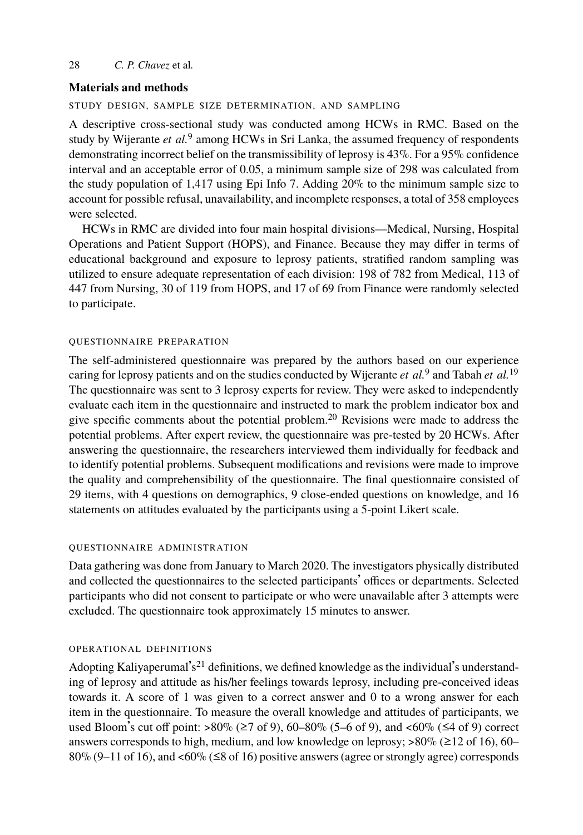## **Materials and methods**

# STUDY DESIGN, SAMPLE SIZE DETERMINATION, AND SAMPLING

A descriptive cross-sectional study was conducted among HCWs in RMC. Based on the study by Wijerante *et al.*<sup>9</sup> among HCWs in Sri Lanka, the assumed frequency of respondents demonstrating incorrect belief on the transmissibility of leprosy is 43%. For a 95% confidence interval and an acceptable error of 0.05, a minimum sample size of 298 was calculated from the study population of 1,417 using Epi Info 7. Adding 20% to the minimum sample size to account for possible refusal, unavailability, and incomplete responses, a total of 358 employees were selected.

HCWs in RMC are divided into four main hospital divisions—Medical, Nursing, Hospital Operations and Patient Support (HOPS), and Finance. Because they ma[y](#page-11-10) differ in terms [of](#page-11-11) educational background and exposure to leprosy patients, stratified random sampling was utilized to ensure adequate representation of each division: 198 of 782 from Medical, 113 of 447 from Nursing, 30 of 119 from HOPS, and 17 of 6[9](#page-11-12) from Finance were randomly selected to participate.

# QUESTIONNAIRE PREPARATION

The self-administered questionnaire was prepared by the authors based on our experience caring for leprosy patients and on the studies conducted by Wijerante *et al.*<sup>9</sup> and Tabah *et al.*<sup>19</sup> The questionnaire was sent to 3 leprosy experts for review. They were asked to independently evaluate each item in the questionnaire and instructed to mark the problem indicator box and give specific comments about the potential problem.<sup>20</sup> Revisions were made to address the potential problems. After expert review, the questionnaire was pre-tested by 20 HCWs. After answering the questionnaire, the researchers interviewed them individually for feedback and to identify potential problems. Subsequent modifications and revisions were made to improve the quality and comprehensibility of the questionnaire. The final questionnaire consisted of 29 items, with 4 questions on demographics, 9 close-ended questions on knowledge, and 16 statements on attitudes evaluated by the participants using a 5-point Likert scale.

## QUESTIONNAIRE ADMINISTRATION

Data gathering was done from January to March 2020. The investigators physically distributed and collected the questionnaires to the selected participants' offices or departments. Selected participants who did not consent to participate or who were unavailable after 3 attempts were excluded. The questionnaire took approximately 15 minutes to answer.

# OPERATIONAL DEFINITIONS

Adopting Kaliyaperumal's<sup>21</sup> definitions, we defined knowledge as the individual's understanding of leprosy and attitude as his/her feelings towards leprosy, including pre-conceived ideas towards it. A score of 1 was given to a correct answer and 0 to a wrong answer for each item in the questionnaire. To measure the overall knowledge and attitudes of participants, we used Bloom's cut off point:  $>80\%$  ( $\geq 7$  of 9), 60–80% (5–6 of 9), and <60% ( $\leq 4$  of 9) correct answers corresponds to high, medium, and low knowledge on leprosy;  $>80\%$  ( $\geq 12$  of 16), 60– 80% (9–11 of 16), and <60% ( $\leq$ 8 of 16) positive answers (agree or strongly agree) corresponds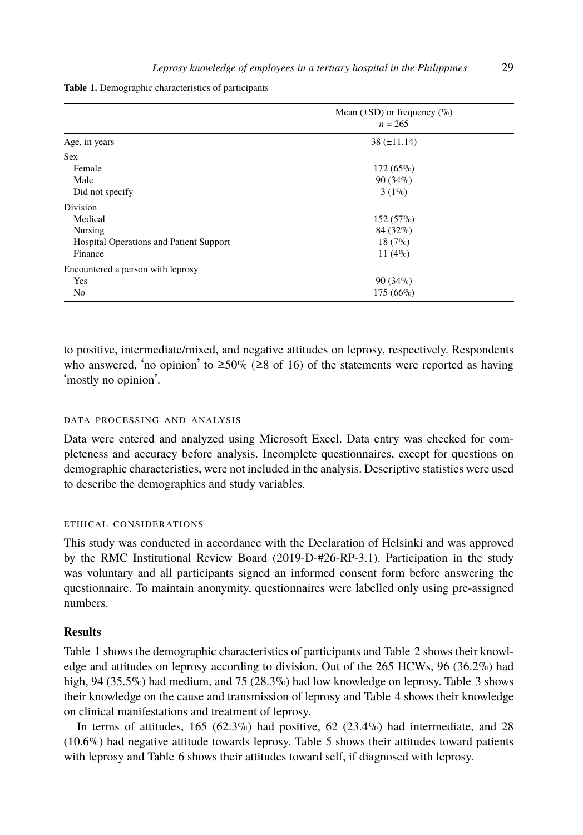|  |  |  |  | Leprosy knowledge of employees in a tertiary hospital in the Philippines | 29 |
|--|--|--|--|--------------------------------------------------------------------------|----|
|--|--|--|--|--------------------------------------------------------------------------|----|

<span id="page-3-0"></span>**Table 1.** Demographic characteristics of participants

|                                                | Mean $(\pm SD)$ or frequency $(\%)$<br>$n = 265$ |  |
|------------------------------------------------|--------------------------------------------------|--|
|                                                |                                                  |  |
| Age, in years                                  | $38 (\pm 11.14)$                                 |  |
| <b>Sex</b>                                     |                                                  |  |
| Female                                         | $172(65\%)$                                      |  |
| Male                                           | $90(34\%)$                                       |  |
| Did not specify                                | $3(1\%)$                                         |  |
| Division                                       |                                                  |  |
| Medical                                        | $152(57\%)$                                      |  |
| Nursing                                        | 84 (32%)                                         |  |
| <b>Hospital Operations and Patient Support</b> | $18(7\%)$                                        |  |
| Finance                                        | 11 $(4\%)$                                       |  |
| Encountered a person with leprosy              |                                                  |  |
| Yes                                            | $90(34\%)$                                       |  |
| No                                             | $175(66\%)$                                      |  |

to positive, intermediate/mixed, and negative attitudes on leprosy, respectively. Respondents who answered, 'no opinion' to  $\geq 50\%$  ( $\geq 8$  of 16) of the statements were reported as having 'mostly no opinion'.

#### DATA PROCESSING AND ANALYSIS

Data were entered and analyzed using Microsoft Excel. Data entry was checked for completeness and accuracy before analysis. Incomplete questionnaires, except for questions on demographic characteristics, were not included in the analysis. Descriptive statistics were used to describe the demographics and study variables.

# ETHIC[A](#page-3-0)L CONSIDERATIONS

This study was conducted in accordance with the Declaration of Helsinki and was approved by the RMC Institutional Review Board (2019-D-#26-RP-3.1). Participation in t[he](#page-5-0) study was voluntary and all participants signed an informed consent for[m](#page-6-0) before answering the questionnaire. To maintain anonymity, questionnaires were labelled only using pre-assigned numbers.

# **Results**

Table 1 shows the demographic characteristics of participants and Table 2 shows their knowledge and attitudes on leprosy according to division. Out of the 265 HCWs, 96 (36.2%) had high, 94 (35.5%) had medium, and 75 (28.3%) had low knowledge on leprosy. Table 3 shows their knowledge on the cause and transmission of leprosy and Table 4 shows their knowledge on clinical manifestations and treatment of leprosy.

In terms of attitudes, 165 (62.3%) had positive, 62 (23.4%) had intermediate, and 28 (10.6%) had negative attitude towards leprosy. Table 5 shows their attitudes toward patients with leprosy and Table 6 shows their attitudes toward self, if diagnosed with leprosy.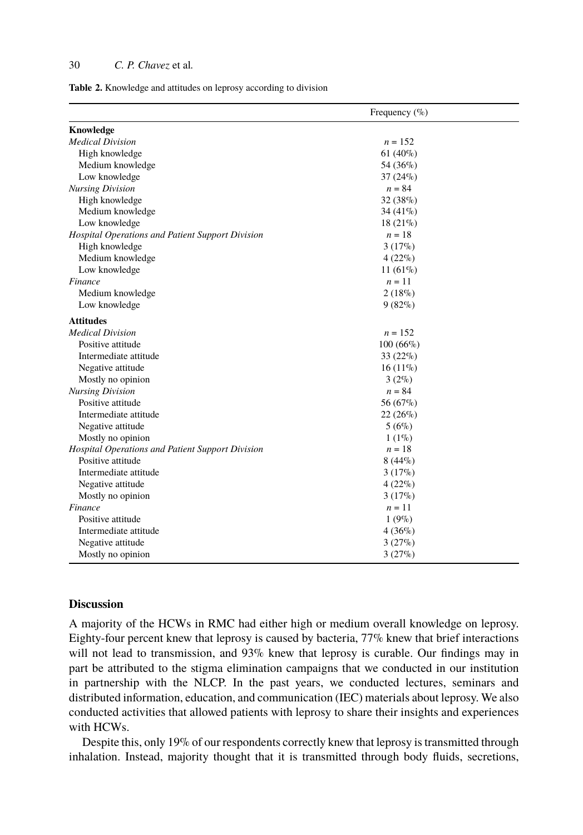Table 2. Knowledge and attitudes on leprosy according to division

|                                                  | Frequency $(\%$ ) |
|--------------------------------------------------|-------------------|
| Knowledge                                        |                   |
| <b>Medical Division</b>                          | $n = 152$         |
| High knowledge                                   | 61 $(40\%)$       |
| Medium knowledge                                 | 54 (36%)          |
| Low knowledge                                    | $37(24\%)$        |
| <b>Nursing Division</b>                          | $n = 84$          |
| High knowledge                                   | $32(38\%)$        |
| Medium knowledge                                 | 34 $(41\%)$       |
| Low knowledge                                    | $18(21\%)$        |
| Hospital Operations and Patient Support Division | $n=18$            |
| High knowledge                                   | $3(17\%)$         |
| Medium knowledge                                 | $4(22\%)$         |
| Low knowledge                                    | 11 $(61\%)$       |
| Finance                                          | $n = 11$          |
| Medium knowledge                                 | $2(18\%)$         |
| Low knowledge                                    | $9(82\%)$         |
| <b>Attitudes</b>                                 |                   |
| <b>Medical Division</b>                          | $n = 152$         |
| Positive attitude                                | $100(66\%)$       |
| Intermediate attitude                            | $33(22\%)$        |
| Negative attitude                                | $16(11\%)$        |
| Mostly no opinion                                | $3(2\%)$          |
| <b>Nursing Division</b>                          | $n = 84$          |
| Positive attitude                                | 56 (67%)          |
| Intermediate attitude                            | $22(26\%)$        |
| Negative attitude                                | $5(6\%)$          |
| Mostly no opinion                                | $1(1\%)$          |
| Hospital Operations and Patient Support Division | $n=18$            |
| Positive attitude                                | $8(44\%)$         |
| Intermediate attitude                            | $3(17\%)$         |
| Negative attitude                                | $4(22\%)$         |
| Mostly no opinion                                | $3(17\%)$         |
| Finance                                          | $n=11$            |
| Positive attitude                                | $1(9\%)$          |
| Intermediate attitude                            | $4(36\%)$         |
| Negative attitude                                | $3(27\%)$         |
| Mostly no opinion                                | 3(27%)            |

## **Discussion**

A majority of the HCWs in RMC had either high or medium overall knowledge on leprosy. Eighty-four percent knew that leprosy is caused by bacteria, 77% knew that brief interactions will not lead to transmission, and 93% knew that leprosy is curable. Our findings may in part be attributed to the stigma elimination campaigns that we conducted in our institution in partnership with the NLCP. In the past years, we conducted lectures, seminars and distributed information, education, and communication (IEC) materials about leprosy. We also conducted activities that allowed patients with leprosy to share their insights and experiences with HCWs.

Despite this, only 19% of our respondents correctly knew that leprosy is transmitted through inhalation. Instead, majority thought that it is transmitted through body fluids, secretions,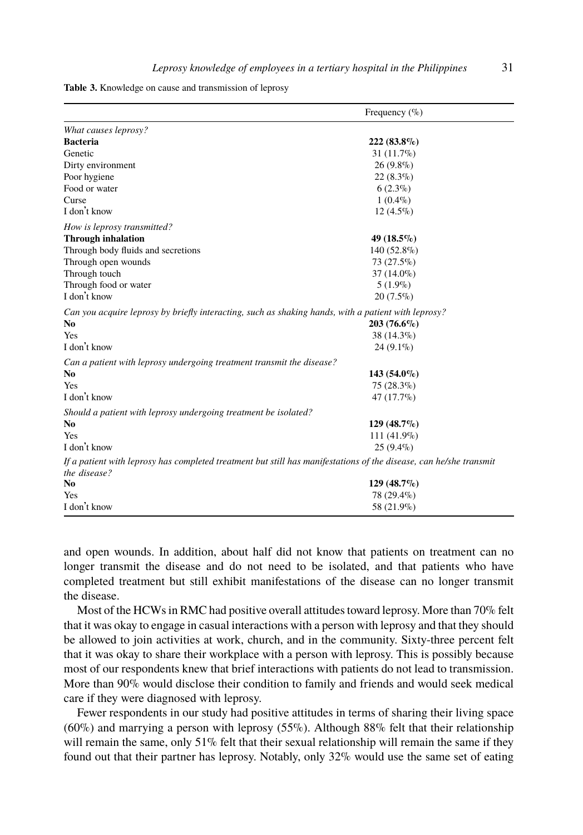<span id="page-5-0"></span>

|  |  |  |  |  |  |  | Table 3. Knowledge on cause and transmission of leprosy |  |  |
|--|--|--|--|--|--|--|---------------------------------------------------------|--|--|
|--|--|--|--|--|--|--|---------------------------------------------------------|--|--|

|                                                                                                                                    | Frequency $(\%$ ) |
|------------------------------------------------------------------------------------------------------------------------------------|-------------------|
| What causes leprosy?                                                                                                               |                   |
| <b>Bacteria</b>                                                                                                                    | 222 (83.8%)       |
| Genetic                                                                                                                            | $31(11.7\%)$      |
| Dirty environment                                                                                                                  | $26(9.8\%)$       |
| Poor hygiene                                                                                                                       | $22(8.3\%)$       |
| Food or water                                                                                                                      | $6(2.3\%)$        |
| Curse                                                                                                                              | $1(0.4\%)$        |
| I don't know                                                                                                                       | $12(4.5\%)$       |
| How is leprosy transmitted?                                                                                                        |                   |
| <b>Through inhalation</b>                                                                                                          | 49 $(18.5\%)$     |
| Through body fluids and secretions                                                                                                 | 140 (52.8%)       |
| Through open wounds                                                                                                                | 73 (27.5%)        |
| Through touch                                                                                                                      | $37(14.0\%)$      |
| Through food or water                                                                                                              | $5(1.9\%)$        |
| I don't know                                                                                                                       | $20(7.5\%)$       |
| Can you acquire leprosy by briefly interacting, such as shaking hands, with a patient with leprosy?                                |                   |
| No                                                                                                                                 | $203(76.6\%)$     |
| Yes                                                                                                                                | 38 (14.3%)        |
| I don't know                                                                                                                       | $24(9.1\%)$       |
| Can a patient with leprosy undergoing treatment transmit the disease?                                                              |                   |
| N <sub>0</sub>                                                                                                                     | $143(54.0\%)$     |
| Yes                                                                                                                                | $75(28.3\%)$      |
| I don't know                                                                                                                       | 47 (17.7%)        |
| Should a patient with leprosy undergoing treatment be isolated?                                                                    |                   |
| No.                                                                                                                                | $129(48.7\%)$     |
| Yes                                                                                                                                | $111(41.9\%)$     |
| I don't know                                                                                                                       | $25(9.4\%)$       |
| If a patient with leprosy has completed treatment but still has manifestations of the disease, can he/she transmit<br>the disease? |                   |
| N <sub>0</sub>                                                                                                                     | $129(48.7\%)$     |
| Yes                                                                                                                                | 78 (29.4%)        |
| I don't know                                                                                                                       | 58 (21.9%)        |

and open wounds. In addition, about half did not know that patients on treatment can no longer transmit the disease and do not need to be isolated, and that patients who have completed treatment but still exhibit manifestations of the disease can no longer transmit the disease.

Most of the HCWs in RMC had positive overall attitudes toward leprosy. More than 70% felt that it was okay to engage in casual interactions with a person with leprosy and that they should be allowed to join activities at work, church, and in the community. Sixty-three percent felt that it was okay to share their workplace with a person with leprosy. This is possibly because most of our respondents knew that brief interactions with patients do not lead to transmission. More than 90% would disclose their condition to family and friends and would seek medical care if they were diagnosed with leprosy.

Fewer respondents in our study had positive attitudes in terms of sharing their living space (60%) and marrying a person with leprosy (55%). Although 88% felt that their relationship will remain the same, only  $51\%$  felt that their sexual relationship will remain the same if they found out that their partner has leprosy. Notably, only 32% would use the same set of eating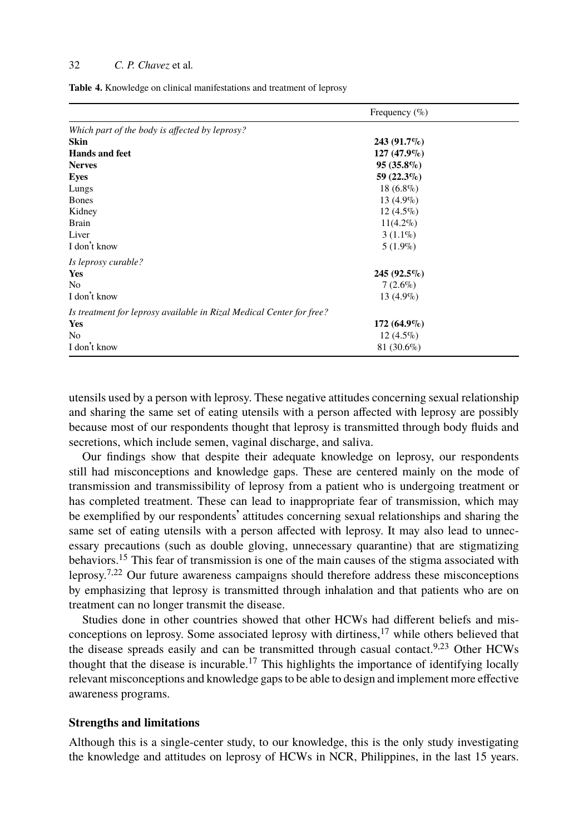<span id="page-6-0"></span>**Table 4.** Knowledge on clinical manifestations and treatment of leprosy

|                                                                      | Frequency $(\% )$ |
|----------------------------------------------------------------------|-------------------|
| Which part of the body is affected by leprosy?                       |                   |
| <b>Skin</b>                                                          | $243(91.7\%)$     |
| <b>Hands and feet</b>                                                | $127(47.9\%)$     |
| <b>Nerves</b>                                                        | $95(35.8\%)$      |
| <b>Eyes</b>                                                          | 59 $(22.3\%)$     |
| Lungs                                                                | $18(6.8\%)$       |
| <b>Bones</b>                                                         | $13(4.9\%)$       |
| Kidney                                                               | $12(4.5\%)$       |
| <b>Brain</b>                                                         | $11(4.2\%)$       |
| Liver                                                                | $3(1.1\%)$        |
| I don't know                                                         | $5(1.9\%)$        |
| Is leprosy curable?                                                  |                   |
| Yes                                                                  | $245(92.5\%)$     |
| No                                                                   | $7(2.6\%)$        |
| I don't know                                                         | $13(4.9\%)$       |
| Is treatment for leprosy available in Rizal Medical Center for free? |                   |
| Yes                                                                  | $172(64.9\%)$     |
| N <sub>0</sub>                                                       | $12(4.5\%)$       |
| I don't know                                                         | $81(30.6\%)$      |

utensils used by a person with leprosy. These negative attitudes concerning sexual relationship and sharing the same set of eating utensils with a person affected with leprosy are possibly because [mos](#page-11-8)t of our respondents thought that leprosy is transmitted through body fluids and secretio[n](#page-11-4)[s,](#page-11-13) which include semen, vaginal discharge, and saliva.

Our findings show that despite their adequate knowledge on leprosy, our respondents still had misconceptions and knowledge gaps. These are centered mainly on the mode of transmission and transmissibility of leprosy from a patient who is undergoing treatment or has completed treatment. These can lead to inappropriate fear [of](#page-11-7) transmission, which may be exemplified by our respondents' attitudes concerning sexual relationshi[ps](#page-11-10) [a](#page-11-14)nd sharing the same set of eating utensils with a p[ers](#page-11-7)on affected with leprosy. It may also lead to unnecessary precautions (such as double gloving, unnecessary quarantine) that are stigmatizing behaviors.<sup>15</sup> This fear of transmission is one of the main causes of the stigma associated with leprosy.7,22 Our future awareness campaigns should therefore address these misconceptions by emphasizing that leprosy is transmitted through inhalation and that patients who are on treatment can no longer transmit the disease.

Studies done in other countries showed that other HCWs had different beliefs and misconceptions on leprosy. Some associated leprosy with dirtiness,<sup>17</sup> while others believed that the disease spreads easily and can be transmitted through casual contact.<sup>9,23</sup> Other HCWs thought that the disease is incurable.<sup>17</sup> This highlights the importance of identifying locally relevant misconceptions and knowledge gaps to be able to design and implement more effective awareness programs.

#### **Strengths and limitations**

Although this is a single-center study, to our knowledge, this is the only study investigating the knowledge and attitudes on leprosy of HCWs in NCR, Philippines, in the last 15 years.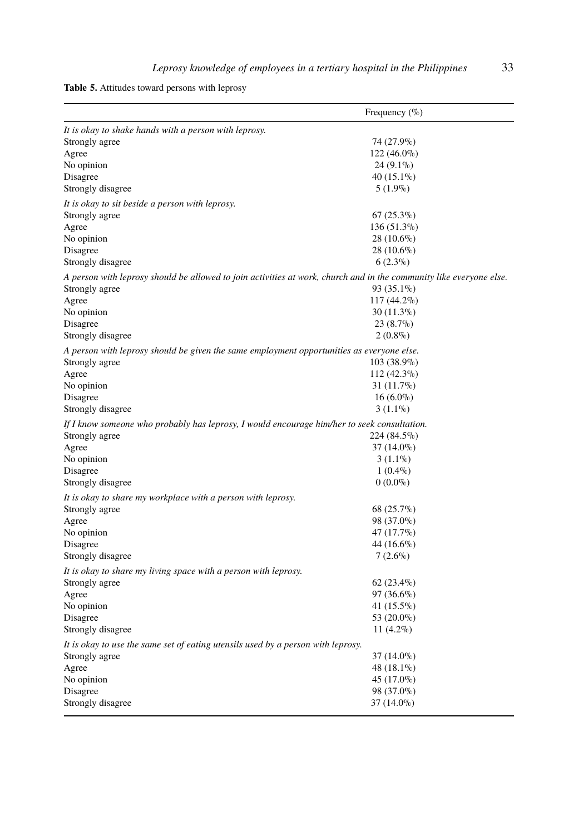**Table 5.** Attitudes toward persons with leprosy

| It is okay to shake hands with a person with leprosy.<br>74 (27.9%)<br>Strongly agree<br>$122(46.0\%)$<br>Agree<br>$24(9.1\%)$<br>No opinion |  |
|----------------------------------------------------------------------------------------------------------------------------------------------|--|
|                                                                                                                                              |  |
|                                                                                                                                              |  |
|                                                                                                                                              |  |
|                                                                                                                                              |  |
| $40(15.1\%)$<br>Disagree                                                                                                                     |  |
| $5(1.9\%)$<br>Strongly disagree                                                                                                              |  |
| It is okay to sit beside a person with leprosy.                                                                                              |  |
| $67(25.3\%)$<br>Strongly agree                                                                                                               |  |
| 136 (51.3%)<br>Agree                                                                                                                         |  |
| No opinion<br>$28(10.6\%)$                                                                                                                   |  |
| 28 (10.6%)<br>Disagree                                                                                                                       |  |
| $6(2.3\%)$<br>Strongly disagree                                                                                                              |  |
| A person with leprosy should be allowed to join activities at work, church and in the community like everyone else.                          |  |
| Strongly agree<br>93 (35.1%)                                                                                                                 |  |
| $117(44.2\%)$<br>Agree                                                                                                                       |  |
| $30(11.3\%)$<br>No opinion                                                                                                                   |  |
| $23(8.7\%)$<br>Disagree                                                                                                                      |  |
| Strongly disagree<br>$2(0.8\%)$                                                                                                              |  |
| A person with leprosy should be given the same employment opportunities as everyone else.                                                    |  |
| 103 (38.9%)<br>Strongly agree                                                                                                                |  |
| $112(42.3\%)$<br>Agree                                                                                                                       |  |
| $31(11.7\%)$<br>No opinion                                                                                                                   |  |
| $16(6.0\%)$<br>Disagree                                                                                                                      |  |
| Strongly disagree<br>$3(1.1\%)$                                                                                                              |  |
| If I know someone who probably has leprosy, I would encourage him/her to seek consultation.                                                  |  |
| Strongly agree<br>224 (84.5%)                                                                                                                |  |
| $37(14.0\%)$<br>Agree                                                                                                                        |  |
| No opinion<br>$3(1.1\%)$                                                                                                                     |  |
| $1(0.4\%)$<br>Disagree                                                                                                                       |  |
| $0(0.0\%)$<br>Strongly disagree                                                                                                              |  |
| It is okay to share my workplace with a person with leprosy.                                                                                 |  |
| Strongly agree<br>68 (25.7%)                                                                                                                 |  |
| 98 (37.0%)<br>Agree                                                                                                                          |  |
| 47 (17.7%)<br>No opinion                                                                                                                     |  |
| 44 (16.6%)<br>Disagree                                                                                                                       |  |
| $7(2.6\%)$<br>Strongly disagree                                                                                                              |  |
| It is okay to share my living space with a person with leprosy.                                                                              |  |
| Strongly agree<br>$62(23.4\%)$                                                                                                               |  |
| 97 (36.6%)<br>Agree                                                                                                                          |  |
| No opinion<br>41 $(15.5\%)$                                                                                                                  |  |
| 53 (20.0%)<br>Disagree                                                                                                                       |  |
| Strongly disagree<br>$11(4.2\%)$                                                                                                             |  |
| It is okay to use the same set of eating utensils used by a person with leprosy.                                                             |  |
| Strongly agree<br>37 (14.0%)                                                                                                                 |  |
| 48 (18.1%)<br>Agree                                                                                                                          |  |
| 45 (17.0%)<br>No opinion                                                                                                                     |  |
| Disagree<br>98 (37.0%)                                                                                                                       |  |
| 37 (14.0%)<br>Strongly disagree                                                                                                              |  |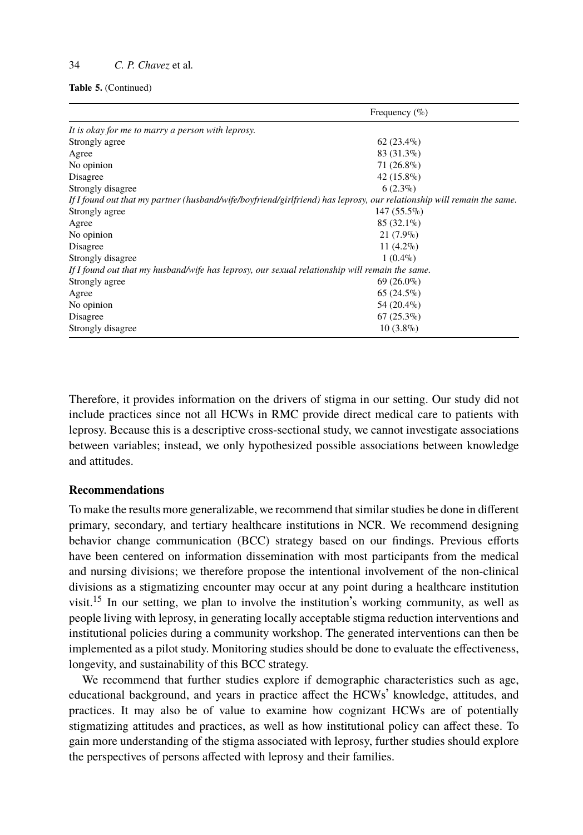#### **Table 5.** (Continued)

|                                                                                                                        | Frequency $(\%$ ) |  |
|------------------------------------------------------------------------------------------------------------------------|-------------------|--|
| It is okay for me to marry a person with leprosy.                                                                      |                   |  |
| Strongly agree                                                                                                         | $62(23.4\%)$      |  |
| Agree                                                                                                                  | $83(31.3\%)$      |  |
| No opinion                                                                                                             | $71(26.8\%)$      |  |
| Disagree                                                                                                               | 42 (15.8%)        |  |
| Strongly disagree                                                                                                      | $6(2.3\%)$        |  |
| If I found out that my partner (husband/wife/boyfriend/girlfriend) has leprosy, our relationship will remain the same. |                   |  |
| Strongly agree                                                                                                         | $147(55.5\%)$     |  |
| Agree                                                                                                                  | $85(32.1\%)$      |  |
| No opinion                                                                                                             | $21(7.9\%)$       |  |
| Disagree                                                                                                               | 11 $(4.2\%)$      |  |
| Strongly disagree                                                                                                      | $1(0.4\%)$        |  |
| If I found out that my husband/wife has leprosy, our sexual relationship will remain the same.                         |                   |  |
| Strongly agree                                                                                                         | $69(26.0\%)$      |  |
| Agree                                                                                                                  | $65(24.5\%)$      |  |
| No opinion                                                                                                             | 54 (20.4%)        |  |
| Disagree                                                                                                               | $67(25.3\%)$      |  |
| Strongly disagree                                                                                                      | $10(3.8\%)$       |  |

Therefore, it provides information on the drivers of stigma in our setting. Our study did not include practices since not all HCWs in RMC provide direct medical care to patients with leprosy. Because this is a descriptive cross-sectional study, we cannot investigate associations between variables; instead, we only hypothesized possible associations between knowledge and [atti](#page-11-8)tudes.

## **Recommendations**

To make the results more generalizable, we recommend that similar studies be done in different primary, secondary, and tertiary healthcare institutions in NCR. We recommend designing behavior change communication (BCC) strategy based on our findings. Previous efforts have been centered on information dissemination with most participants from the medical and nursing divisions; we therefore propose the intentional involvement of the non-clinical divisions as a stigmatizing encounter may occur at any point during a healthcare institution visit.<sup>15</sup> In our setting, we plan to involve the institution's working community, as well as people living with leprosy, in generating locally acceptable stigma reduction interventions and institutional policies during a community workshop. The generated interventions can then be implemented as a pilot study. Monitoring studies should be done to evaluate the effectiveness, longevity, and sustainability of this BCC strategy.

We recommend that further studies explore if demographic characteristics such as age, educational background, and years in practice affect the HCWs' knowledge, attitudes, and practices. It may also be of value to examine how cognizant HCWs are of potentially stigmatizing attitudes and practices, as well as how institutional policy can affect these. To gain more understanding of the stigma associated with leprosy, further studies should explore the perspectives of persons affected with leprosy and their families.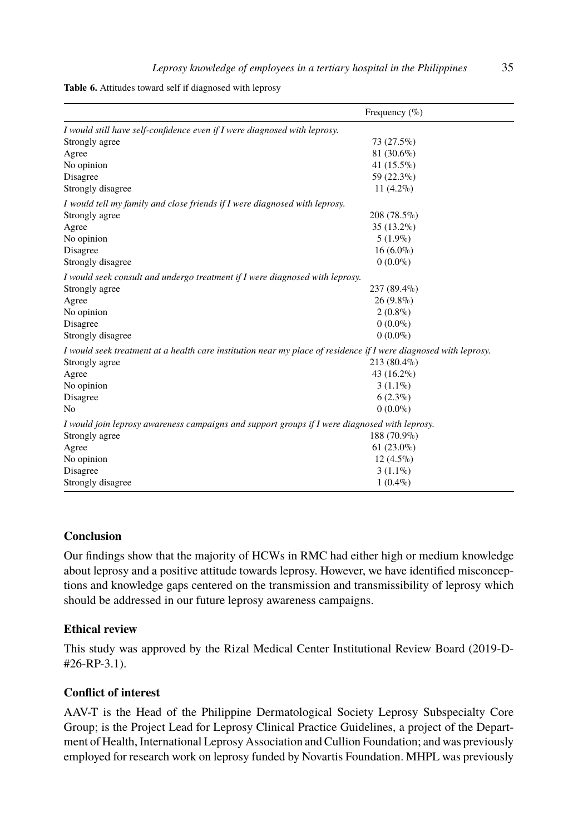**Table 6.** Attitudes toward self if diagnosed with leprosy

|                                                                                                                  | Frequency $(\%$ ) |
|------------------------------------------------------------------------------------------------------------------|-------------------|
| I would still have self-confidence even if I were diagnosed with leprosy.                                        |                   |
| Strongly agree                                                                                                   | 73 (27.5%)        |
| Agree                                                                                                            | $81(30.6\%)$      |
| No opinion                                                                                                       | 41 (15.5%)        |
| Disagree                                                                                                         | 59 (22.3%)        |
| Strongly disagree                                                                                                | $11(4.2\%)$       |
| I would tell my family and close friends if I were diagnosed with leprosy.                                       |                   |
| Strongly agree                                                                                                   | 208 (78.5%)       |
| Agree                                                                                                            | $35(13.2\%)$      |
| No opinion                                                                                                       | $5(1.9\%)$        |
| Disagree                                                                                                         | $16(6.0\%)$       |
| Strongly disagree                                                                                                | $0(0.0\%)$        |
| I would seek consult and undergo treatment if I were diagnosed with leprosy.                                     |                   |
| Strongly agree                                                                                                   | 237 (89.4%)       |
| Agree                                                                                                            | $26(9.8\%)$       |
| No opinion                                                                                                       | $2(0.8\%)$        |
| Disagree                                                                                                         | $0(0.0\%)$        |
| Strongly disagree                                                                                                | $0(0.0\%)$        |
| I would seek treatment at a health care institution near my place of residence if I were diagnosed with leprosy. |                   |
| Strongly agree                                                                                                   | 213 (80.4%)       |
| Agree                                                                                                            | 43 $(16.2\%)$     |
| No opinion                                                                                                       | $3(1.1\%)$        |
| Disagree                                                                                                         | $6(2.3\%)$        |
| No                                                                                                               | $0(0.0\%)$        |
| I would join leprosy awareness campaigns and support groups if I were diagnosed with leprosy.                    |                   |
| Strongly agree                                                                                                   | 188 (70.9%)       |
| Agree                                                                                                            | $61(23.0\%)$      |
| No opinion                                                                                                       | $12(4.5\%)$       |
| Disagree                                                                                                         | $3(1.1\%)$        |
| Strongly disagree                                                                                                | $1(0.4\%)$        |

# **Conclusion**

Our findings show that the majority of HCWs in RMC had either high or medium knowledge about leprosy and a positive attitude towards leprosy. However, we have identified misconceptions and knowledge gaps centered on the transmission and transmissibility of leprosy which should be addressed in our future leprosy awareness campaigns.

# **Ethical review**

This study was approved by the Rizal Medical Center Institutional Review Board (2019-D- #26-RP-3.1).

## **Conflict of interest**

AAV-T is the Head of the Philippine Dermatological Society Leprosy Subspecialty Core Group; is the Project Lead for Leprosy Clinical Practice Guidelines, a project of the Department of Health, International Leprosy Association and Cullion Foundation; and was previously employed for research work on leprosy funded by Novartis Foundation. MHPL was previously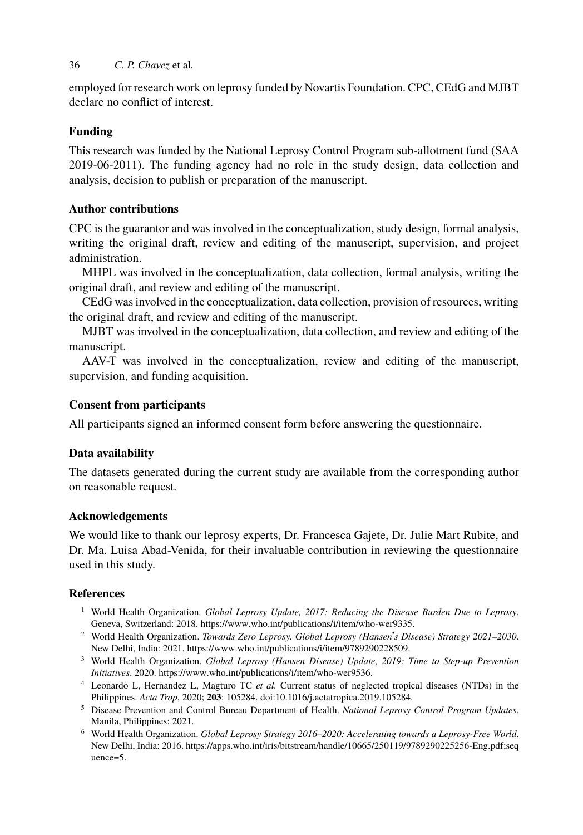employed for research work on leprosy funded by Novartis Foundation. CPC, CEdG and MJBT declare no conflict of interest.

# **Funding**

This research was funded by the National Leprosy Control Program sub-allotment fund (SAA 2019-06-2011). The funding agency had no role in the study design, data collection and analysis, decision to publish or preparation of the manuscript.

# **Author contributions**

CPC is the guarantor and was involved in the conceptualization, study design, formal analysis, writing the original draft, review and editing of the manuscript, supervision, and project administration.

MHPL was involved in the conceptualization, data collection, formal analysis, writing the original draft, and review and editing of the manuscript.

CEdG was involved in the conceptualization, data collection, provision of resources, writing the original draft, and review and editing of the manuscript.

MJBT was involved in the conceptualization, data collection, and review and editing of the manuscript.

AAV-T was involved in the conceptualization, review and editing of the manuscript, supervision, and funding acquisition.

# **Consent from participants**

All participants signed an informed consent form before answering the questionnaire.

# **Data availability**

<span id="page-10-0"></span>The datasets generated during the current study are available from the corresponding author on reasonable request.

## <span id="page-10-1"></span>**Acknowledgements**

<span id="page-10-3"></span><span id="page-10-2"></span>We would like to thank our leprosy experts, Dr. Francesca Gajete, Dr. Julie Mart Rubite, and Dr. Ma. Luisa Ab[ad-Venida, for their invaluable contribution i](https://www.who.int/publications/i/item/who-wer9536)n reviewing the questionnaire used in this study.

# <span id="page-10-4"></span>**References**

- <sup>1</sup> World Health Organiza[tion.](https://apps.who.int/iris/bitstream/handle/10665/250119/9789290225256-Eng.pdf;sequence=5) *[Global Leprosy Update, 2017: Reducing the Disease Burden Due to Leprosy](https://apps.who.int/iris/bitstream/handle/10665/250119/9789290225256-Eng.pdf;sequence=5)*[.](https://apps.who.int/iris/bitstream/handle/10665/250119/9789290225256-Eng.pdf;sequence=5) [Geneva,](https://apps.who.int/iris/bitstream/handle/10665/250119/9789290225256-Eng.pdf;sequence=5) Switzerland: 2018. [h](https://apps.who.int/iris/bitstream/handle/10665/250119/9789290225256-Eng.pdf;sequence=5)ttps://www.who.int/publications/i/item/who-wer9335.
- <sup>2</sup> World Health Organization. *Towards Zero Leprosy. Global Leprosy (Hansen*'*s Disease) Strategy 2021–2030*. New Delhi, India: 2021. https://www.who.int/publications/i/item/9789290228509.
- <sup>3</sup> World Health Organization. *Global Leprosy (Hansen Disease) Update, 2019: Time to Step-up Prevention Initiatives*. 2020. https://www.who.int/publications/i/item/who-wer9536.
- <sup>4</sup> Leonardo L, Hernandez L, Magturo TC *et al.* Current status of neglected tropical diseases (NTDs) in the Philippines. *Acta Trop*, 2020; **203**: 105284. doi:10.1016/j.actatropica.2019.105284.
- <sup>5</sup> Disease Prevention and Control Bureau Department of Health. *National Leprosy Control Program Updates*. Manila, Philippines: 2021.
- <sup>6</sup> World Health Organization. *Global Leprosy Strategy 2016–2020: Accelerating towards a Leprosy-Free World*. New Delhi, India: 2016. https://apps.who.int/iris/bitstream/handle/10665/250119/9789290225256-Eng.pdf;seq uence=5.